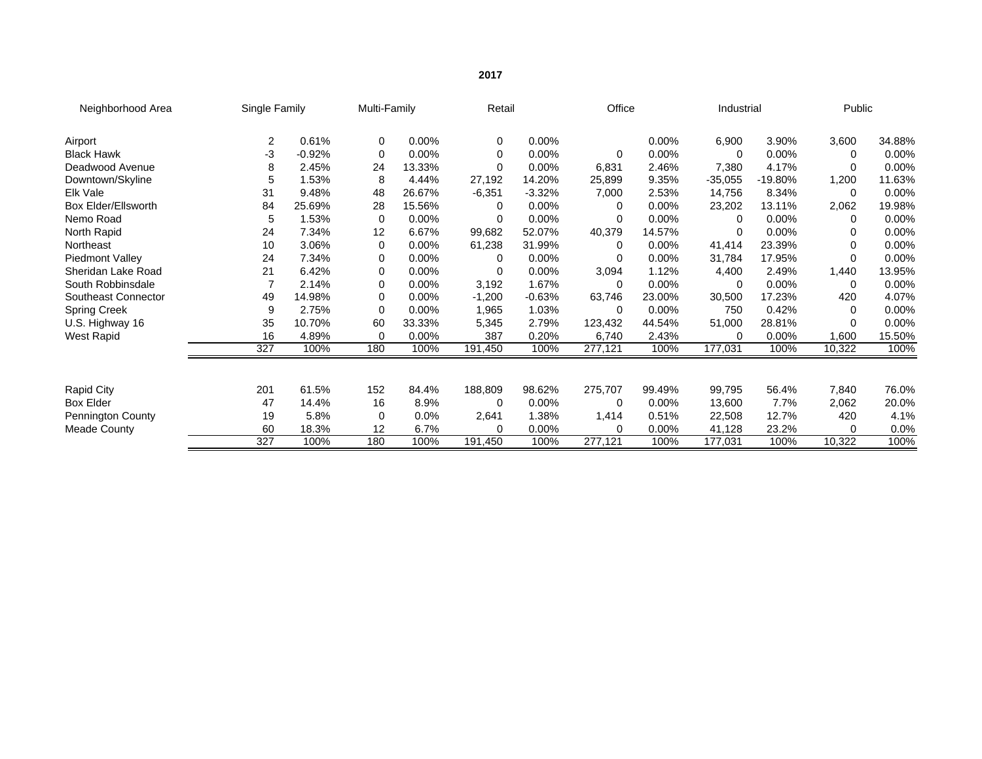| Neighborhood Area   | Single Family |          | Multi-Family |          | Retail   |          | Office  |        | Industrial |          | Public   |        |
|---------------------|---------------|----------|--------------|----------|----------|----------|---------|--------|------------|----------|----------|--------|
| Airport             | 2             | 0.61%    | 0            | $0.00\%$ | 0        | $0.00\%$ |         | 0.00%  | 6,900      | 3.90%    | 3,600    | 34.88% |
| <b>Black Hawk</b>   | -3            | $-0.92%$ | 0            | $0.00\%$ | 0        | $0.00\%$ | 0       | 0.00%  | 0          | 0.00%    | 0        | 0.00%  |
| Deadwood Avenue     | 8             | 2.45%    | 24           | 13.33%   | $\Omega$ | 0.00%    | 6,831   | 2.46%  | 7,380      | 4.17%    | 0        | 0.00%  |
| Downtown/Skyline    | 5             | 1.53%    | 8            | 4.44%    | 27,192   | 14.20%   | 25,899  | 9.35%  | $-35,055$  | -19.80%  | 1,200    | 11.63% |
| Elk Vale            | 31            | 9.48%    | 48           | 26.67%   | $-6,351$ | $-3.32%$ | 7,000   | 2.53%  | 14,756     | 8.34%    | 0        | 0.00%  |
| Box Elder/Ellsworth | 84            | 25.69%   | 28           | 15.56%   | 0        | 0.00%    | 0       | 0.00%  | 23,202     | 13.11%   | 2,062    | 19.98% |
| Nemo Road           | 5             | 1.53%    | 0            | 0.00%    | 0        | 0.00%    | 0       | 0.00%  | 0          | 0.00%    | 0        | 0.00%  |
| North Rapid         | 24            | 7.34%    | 12           | 6.67%    | 99,682   | 52.07%   | 40,379  | 14.57% | 0          | $0.00\%$ | 0        | 0.00%  |
| Northeast           | 10            | 3.06%    | 0            | 0.00%    | 61,238   | 31.99%   | 0       | 0.00%  | 41,414     | 23.39%   |          | 0.00%  |
| Piedmont Valley     | 24            | 7.34%    | 0            | $0.00\%$ | 0        | 0.00%    | 0       | 0.00%  | 31,784     | 17.95%   | 0        | 0.00%  |
| Sheridan Lake Road  | 21            | 6.42%    | 0            | 0.00%    | 0        | 0.00%    | 3,094   | 1.12%  | 4,400      | 2.49%    | 1,440    | 13.95% |
| South Robbinsdale   | 7             | 2.14%    | 0            | 0.00%    | 3,192    | 1.67%    | 0       | 0.00%  | 0          | 0.00%    | 0        | 0.00%  |
| Southeast Connector | 49            | 14.98%   | 0            | 0.00%    | $-1,200$ | $-0.63%$ | 63,746  | 23.00% | 30,500     | 17.23%   | 420      | 4.07%  |
| <b>Spring Creek</b> | 9             | 2.75%    | 0            | 0.00%    | 1,965    | 1.03%    | 0       | 0.00%  | 750        | 0.42%    | $\Omega$ | 0.00%  |
| U.S. Highway 16     | 35            | 10.70%   | 60           | 33.33%   | 5,345    | 2.79%    | 123,432 | 44.54% | 51,000     | 28.81%   | 0        | 0.00%  |
| West Rapid          | 16            | 4.89%    | 0            | 0.00%    | 387      | 0.20%    | 6,740   | 2.43%  | 0          | 0.00%    | 1,600    | 15.50% |
|                     | 327           | 100%     | 180          | 100%     | 191,450  | 100%     | 277,121 | 100%   | 177,031    | 100%     | 10,322   | 100%   |
|                     |               |          |              |          |          |          |         |        |            |          |          |        |
| <b>Rapid City</b>   | 201           | 61.5%    | 152          | 84.4%    | 188,809  | 98.62%   | 275,707 | 99.49% | 99,795     | 56.4%    | 7,840    | 76.0%  |
| <b>Box Elder</b>    | 47            | 14.4%    | 16           | 8.9%     | 0        | 0.00%    | 0       | 0.00%  | 13,600     | 7.7%     | 2,062    | 20.0%  |
| Pennington County   | 19            | 5.8%     | 0            | 0.0%     | 2,641    | 1.38%    | 1,414   | 0.51%  | 22,508     | 12.7%    | 420      | 4.1%   |
| Meade County        | 60            | 18.3%    | 12           | 6.7%     | 0        | 0.00%    | 0       | 0.00%  | 41,128     | 23.2%    |          | 0.0%   |
|                     | 327           | 100%     | 180          | 100%     | 191,450  | 100%     | 277,121 | 100%   | 177,031    | 100%     | 10,322   | 100%   |

## **2017**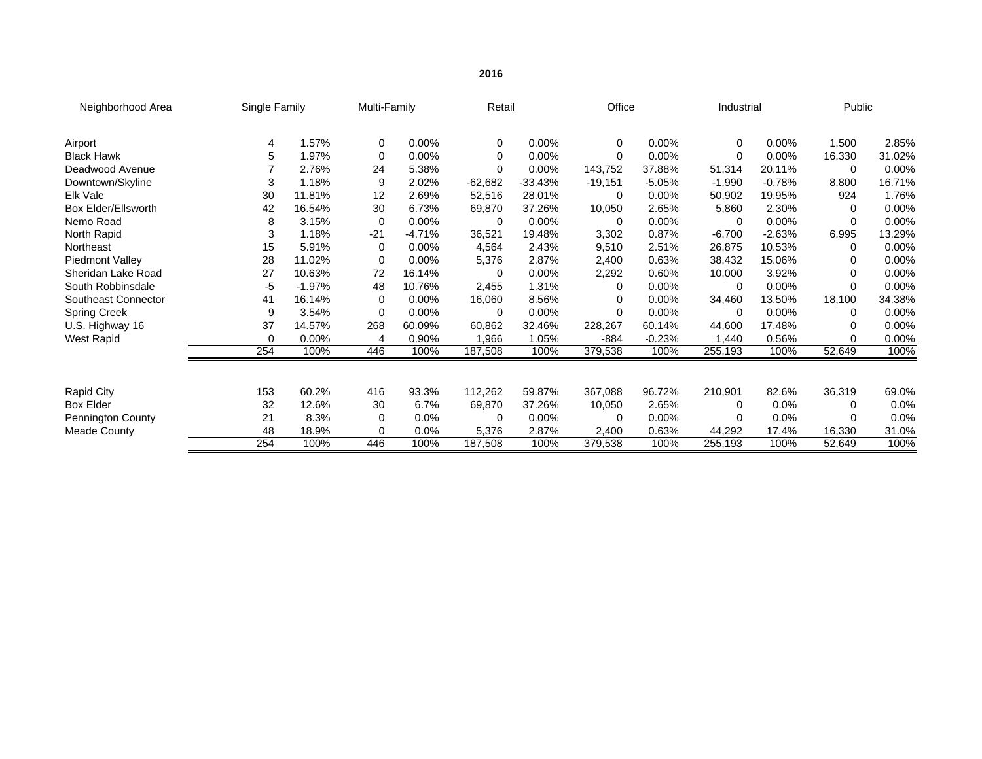| Neighborhood Area          | Single Family |          | Multi-Family |          | Retail    |           | Office    |          | Industrial |          | Public   |        |
|----------------------------|---------------|----------|--------------|----------|-----------|-----------|-----------|----------|------------|----------|----------|--------|
| Airport                    | 4             | 1.57%    | 0            | $0.00\%$ | 0         | $0.00\%$  | 0         | $0.00\%$ | 0          | $0.00\%$ | 1,500    | 2.85%  |
| <b>Black Hawk</b>          | 5             | 1.97%    | 0            | 0.00%    | 0         | 0.00%     | 0         | 0.00%    | $\Omega$   | 0.00%    | 16,330   | 31.02% |
| Deadwood Avenue            |               | 2.76%    | 24           | 5.38%    | $\Omega$  | 0.00%     | 143,752   | 37.88%   | 51,314     | 20.11%   | $\Omega$ | 0.00%  |
| Downtown/Skyline           | 3             | 1.18%    | 9            | 2.02%    | $-62,682$ | $-33.43%$ | $-19,151$ | $-5.05%$ | $-1,990$   | $-0.78%$ | 8,800    | 16.71% |
| Elk Vale                   | 30            | 11.81%   | 12           | 2.69%    | 52,516    | 28.01%    | $\Omega$  | $0.00\%$ | 50,902     | 19.95%   | 924      | 1.76%  |
| <b>Box Elder/Ellsworth</b> | 42            | 16.54%   | 30           | 6.73%    | 69,870    | 37.26%    | 10,050    | 2.65%    | 5,860      | 2.30%    | $\Omega$ | 0.00%  |
| Nemo Road                  | 8             | 3.15%    | $\Omega$     | 0.00%    | $\Omega$  | 0.00%     | $\Omega$  | 0.00%    | 0          | 0.00%    | 0        | 0.00%  |
| North Rapid                | 3             | 1.18%    | $-21$        | $-4.71%$ | 36,521    | 19.48%    | 3,302     | 0.87%    | $-6,700$   | $-2.63%$ | 6,995    | 13.29% |
| Northeast                  | 15            | 5.91%    | $\Omega$     | $0.00\%$ | 4,564     | 2.43%     | 9,510     | 2.51%    | 26,875     | 10.53%   | 0        | 0.00%  |
| Piedmont Valley            | 28            | 11.02%   | $\Omega$     | 0.00%    | 5,376     | 2.87%     | 2,400     | 0.63%    | 38,432     | 15.06%   | 0        | 0.00%  |
| Sheridan Lake Road         | 27            | 10.63%   | 72           | 16.14%   | $\Omega$  | 0.00%     | 2,292     | 0.60%    | 10,000     | 3.92%    | 0        | 0.00%  |
| South Robbinsdale          | $-5$          | $-1.97%$ | 48           | 10.76%   | 2,455     | 1.31%     | 0         | 0.00%    | 0          | 0.00%    | $\Omega$ | 0.00%  |
| Southeast Connector        | 41            | 16.14%   | $\Omega$     | 0.00%    | 16,060    | 8.56%     | 0         | $0.00\%$ | 34,460     | 13.50%   | 18,100   | 34.38% |
| <b>Spring Creek</b>        | 9             | 3.54%    | $\Omega$     | $0.00\%$ | $\Omega$  | $0.00\%$  | $\Omega$  | $0.00\%$ | 0          | 0.00%    | 0        | 0.00%  |
| U.S. Highway 16            | 37            | 14.57%   | 268          | 60.09%   | 60,862    | 32.46%    | 228,267   | 60.14%   | 44,600     | 17.48%   | 0        | 0.00%  |
| West Rapid                 | 0             | 0.00%    | 4            | 0.90%    | 1,966     | 1.05%     | $-884$    | $-0.23%$ | 1,440      | 0.56%    | $\Omega$ | 0.00%  |
|                            | 254           | 100%     | 446          | 100%     | 187,508   | 100%      | 379,538   | 100%     | 255,193    | 100%     | 52,649   | 100%   |
| <b>Rapid City</b>          | 153           | 60.2%    | 416          | 93.3%    | 112,262   | 59.87%    | 367,088   | 96.72%   | 210,901    | 82.6%    | 36,319   | 69.0%  |
| <b>Box Elder</b>           | 32            | 12.6%    | 30           | 6.7%     | 69,870    | 37.26%    | 10,050    | 2.65%    | $\Omega$   | 0.0%     | $\Omega$ | 0.0%   |
| Pennington County          | 21            | 8.3%     | 0            | 0.0%     | 0         | $0.00\%$  | 0         | 0.00%    |            | 0.0%     |          | 0.0%   |
| Meade County               | 48            | 18.9%    | 0            | $0.0\%$  | 5,376     | 2.87%     | 2,400     | 0.63%    | 44,292     | 17.4%    | 16,330   | 31.0%  |
|                            | 254           | 100%     | 446          | 100%     | 187,508   | 100%      | 379,538   | 100%     | 255,193    | 100%     | 52,649   | 100%   |

## **2016**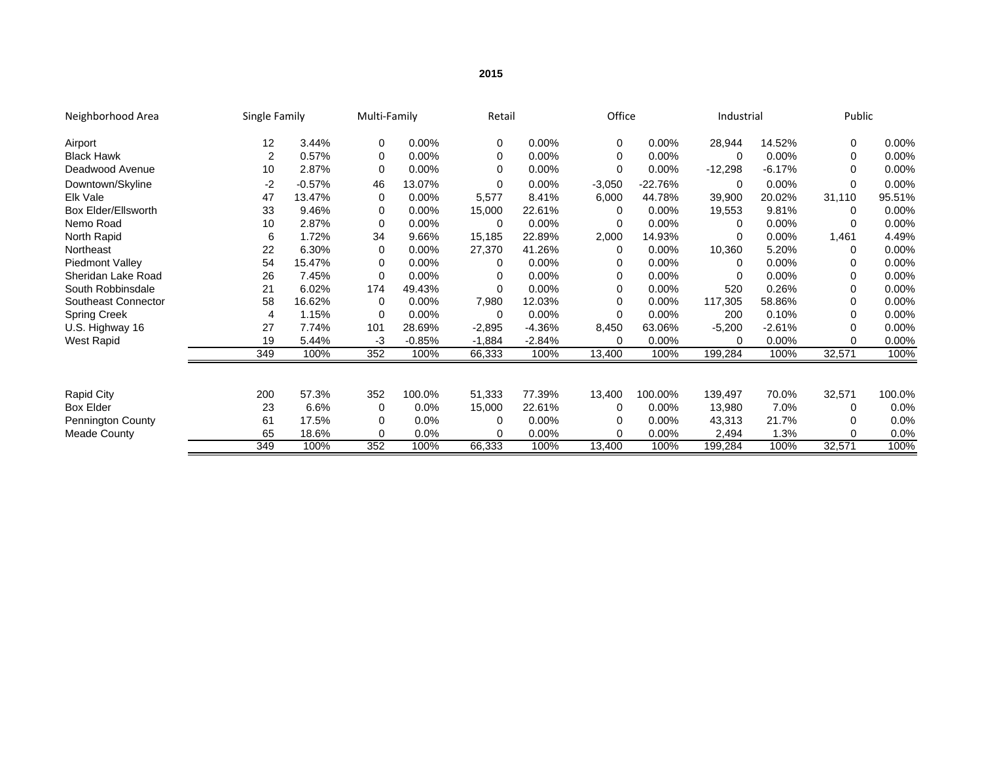## **2015**

| Neighborhood Area          | Single Family |          | Multi-Family |          | Retail   |          |          | Office    |           | Industrial |        | Public   |  |
|----------------------------|---------------|----------|--------------|----------|----------|----------|----------|-----------|-----------|------------|--------|----------|--|
| Airport                    | 12            | 3.44%    | 0            | $0.00\%$ | 0        | 0.00%    | 0        | 0.00%     | 28,944    | 14.52%     | 0      | $0.00\%$ |  |
| <b>Black Hawk</b>          | 2             | 0.57%    | 0            | 0.00%    | 0        | 0.00%    | 0        | 0.00%     | 0         | 0.00%      | 0      | $0.00\%$ |  |
| Deadwood Avenue            | 10            | 2.87%    | 0            | 0.00%    | 0        | 0.00%    | $\Omega$ | 0.00%     | $-12,298$ | -6.17%     | 0      | $0.00\%$ |  |
| Downtown/Skyline           | $-2$          | $-0.57%$ | 46           | 13.07%   | 0        | 0.00%    | $-3,050$ | $-22.76%$ | 0         | 0.00%      | 0      | 0.00%    |  |
| Elk Vale                   | 47            | 13.47%   | 0            | 0.00%    | 5,577    | 8.41%    | 6,000    | 44.78%    | 39,900    | 20.02%     | 31,110 | 95.51%   |  |
| <b>Box Elder/Ellsworth</b> | 33            | 9.46%    | 0            | $0.00\%$ | 15,000   | 22.61%   | $\Omega$ | 0.00%     | 19,553    | 9.81%      | 0      | 0.00%    |  |
| Nemo Road                  | 10            | 2.87%    | 0            | $0.00\%$ | 0        | 0.00%    | 0        | 0.00%     | 0         | $0.00\%$   | 0      | 0.00%    |  |
| North Rapid                | 6             | 1.72%    | 34           | 9.66%    | 15,185   | 22.89%   | 2,000    | 14.93%    | 0         | $0.00\%$   | 1,461  | 4.49%    |  |
| Northeast                  | 22            | 6.30%    | 0            | 0.00%    | 27,370   | 41.26%   | 0        | 0.00%     | 10,360    | 5.20%      | 0      | 0.00%    |  |
| <b>Piedmont Valley</b>     | 54            | 15.47%   | 0            | 0.00%    | 0        | 0.00%    | 0        | 0.00%     | 0         | $0.00\%$   | 0      | $0.00\%$ |  |
| Sheridan Lake Road         | 26            | 7.45%    | 0            | 0.00%    | $\Omega$ | 0.00%    | $\Omega$ | 0.00%     | 0         | $0.00\%$   | 0      | $0.00\%$ |  |
| South Robbinsdale          | 21            | 6.02%    | 174          | 49.43%   | 0        | 0.00%    | 0        | 0.00%     | 520       | 0.26%      | 0      | 0.00%    |  |
| Southeast Connector        | 58            | 16.62%   | 0            | 0.00%    | 7,980    | 12.03%   | 0        | 0.00%     | 117,305   | 58.86%     | 0      | 0.00%    |  |
| <b>Spring Creek</b>        | 4             | 1.15%    | $\Omega$     | 0.00%    | 0        | 0.00%    | 0        | 0.00%     | 200       | 0.10%      | 0      | 0.00%    |  |
| U.S. Highway 16            | 27            | 7.74%    | 101          | 28.69%   | $-2,895$ | $-4.36%$ | 8,450    | 63.06%    | $-5,200$  | $-2.61%$   | 0      | 0.00%    |  |
| West Rapid                 | 19            | 5.44%    | -3           | $-0.85%$ | $-1,884$ | $-2.84%$ | $\Omega$ | 0.00%     | 0         | $0.00\%$   | 0      | 0.00%    |  |
|                            | 349           | 100%     | 352          | 100%     | 66,333   | 100%     | 13,400   | 100%      | 199,284   | 100%       | 32,571 | 100%     |  |
|                            |               |          |              |          |          |          |          |           |           |            |        |          |  |
| <b>Rapid City</b>          | 200           | 57.3%    | 352          | 100.0%   | 51,333   | 77.39%   | 13,400   | 100.00%   | 139,497   | 70.0%      | 32,571 | 100.0%   |  |
| <b>Box Elder</b>           | 23            | 6.6%     | 0            | 0.0%     | 15,000   | 22.61%   | 0        | 0.00%     | 13,980    | 7.0%       | 0      | 0.0%     |  |
| Pennington County          | 61            | 17.5%    |              | $0.0\%$  | 0        | $0.00\%$ | 0        | 0.00%     | 43,313    | 21.7%      |        | 0.0%     |  |
| <b>Meade County</b>        | 65            | 18.6%    | 0            | 0.0%     | 0        | 0.00%    | 0        | 0.00%     | 2,494     | 1.3%       | 0      | 0.0%     |  |
|                            | 349           | 100%     | 352          | 100%     | 66,333   | 100%     | 13,400   | 100%      | 199,284   | 100%       | 32,571 | 100%     |  |